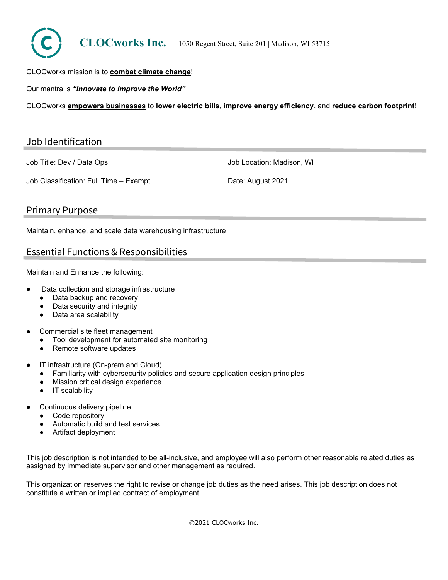

#### CLOCworks mission is to **combat climate change**!

Our mantra is *"Innovate to Improve the World"*

CLOCworks **empowers businesses** to **lower electric bills**, **improve energy efficiency**, and **reduce carbon footprint!**

#### Job Identification

Job Title: Dev / Data Ops

Job Location: Madison, WI

Job Classification: Full Time – Exempt

Date: August 2021

#### Primary Purpose

Maintain, enhance, and scale data warehousing infrastructure

### Essential Functions & Responsibilities

Maintain and Enhance the following:

- Data collection and storage infrastructure
	- Data backup and recovery
	- Data security and integrity
	- Data area scalability
- Commercial site fleet management
	- Tool development for automated site monitoring
	- Remote software updates
- IT infrastructure (On-prem and Cloud)
	- Familiarity with cybersecurity policies and secure application design principles
	- **Mission critical design experience**
	- IT scalability
- Continuous delivery pipeline
	- Code repository
	- Automatic build and test services
	- Artifact deployment

This job description is not intended to be all-inclusive, and employee will also perform other reasonable related duties as assigned by immediate supervisor and other management as required.

This organization reserves the right to revise or change job duties as the need arises. This job description does not constitute a written or implied contract of employment.

©2021 CLOCworks Inc.